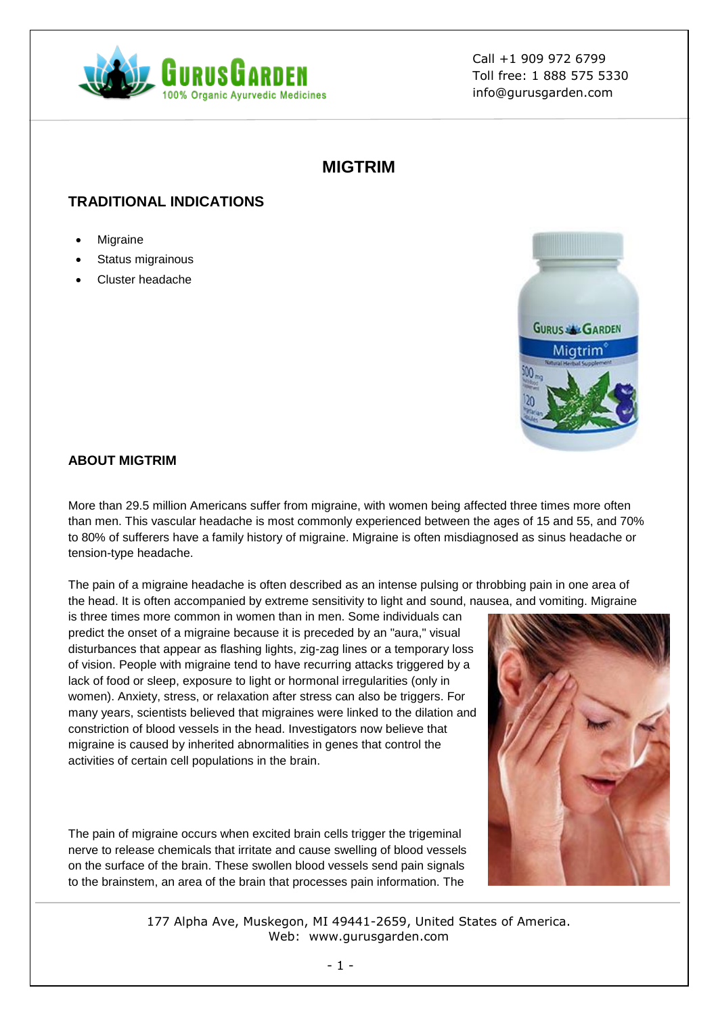

# **MIGTRIM**

## **TRADITIONAL INDICATIONS**

- Migraine
- Status migrainous
- Cluster headache



### **ABOUT MIGTRIM**

More than 29.5 million Americans suffer from migraine, with women being affected three times more often than men. This vascular headache is most commonly experienced between the ages of 15 and 55, and 70% to 80% of sufferers have a family history of migraine. Migraine is often misdiagnosed as sinus headache or tension-type headache.

The pain of a migraine headache is often described as an intense pulsing or throbbing pain in one area of the head. It is often accompanied by extreme sensitivity to light and sound, nausea, and vomiting. Migraine

is three times more common in women than in men. Some individuals can predict the onset of a migraine because it is preceded by an "aura," visual disturbances that appear as flashing lights, zig-zag lines or a temporary loss of vision. People with migraine tend to have recurring attacks triggered by a lack of food or sleep, exposure to light or hormonal irregularities (only in women). Anxiety, stress, or relaxation after stress can also be triggers. For many years, scientists believed that migraines were linked to the dilation and constriction of blood vessels in the head. Investigators now believe that migraine is caused by inherited abnormalities in genes that control the activities of certain cell populations in the brain.

The pain of migraine occurs when excited brain cells trigger the trigeminal nerve to release chemicals that irritate and cause swelling of blood vessels on the surface of the brain. These swollen blood vessels send pain signals to the brainstem, an area of the brain that processes pain information. The

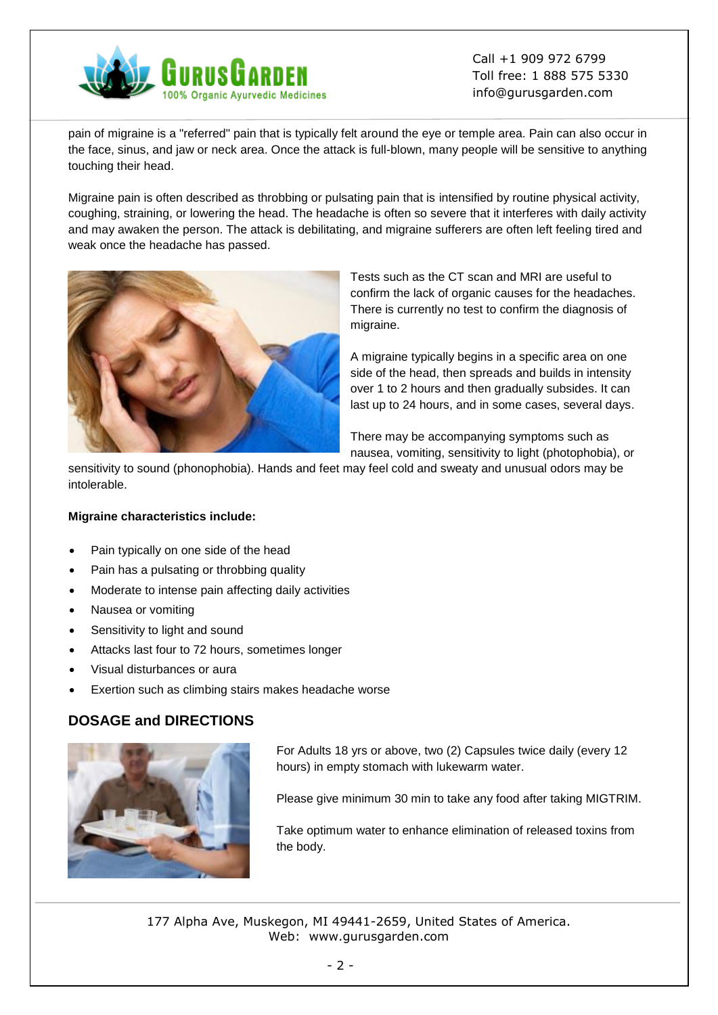

pain of migraine is a "referred" pain that is typically felt around the eye or temple area. Pain can also occur in the face, sinus, and jaw or neck area. Once the attack is full-blown, many people will be sensitive to anything touching their head.

Migraine pain is often described as throbbing or pulsating pain that is intensified by routine physical activity, coughing, straining, or lowering the head. The headache is often so severe that it interferes with daily activity and may awaken the person. The attack is debilitating, and migraine sufferers are often left feeling tired and weak once the headache has passed.



Tests such as the CT scan and MRI are useful to confirm the lack of organic causes for the headaches. There is currently no test to confirm the diagnosis of migraine.

A migraine typically begins in a specific area on one side of the head, then spreads and builds in intensity over 1 to 2 hours and then gradually subsides. It can last up to 24 hours, and in some cases, several days.

There may be accompanying symptoms such as nausea, vomiting, sensitivity to light (photophobia), or

sensitivity to sound (phonophobia). Hands and feet may feel cold and sweaty and unusual odors may be intolerable.

#### **Migraine characteristics include:**

- Pain typically on one side of the head
- Pain has a pulsating or throbbing quality
- Moderate to intense pain affecting daily activities
- Nausea or vomiting
- Sensitivity to light and sound
- Attacks last four to 72 hours, sometimes longer
- Visual disturbances or aura
- Exertion such as climbing stairs makes headache worse

### **DOSAGE and DIRECTIONS**



For Adults 18 yrs or above, two (2) Capsules twice daily (every 12 hours) in empty stomach with lukewarm water.

Please give minimum 30 min to take any food after taking MIGTRIM.

Take optimum water to enhance elimination of released toxins from the body.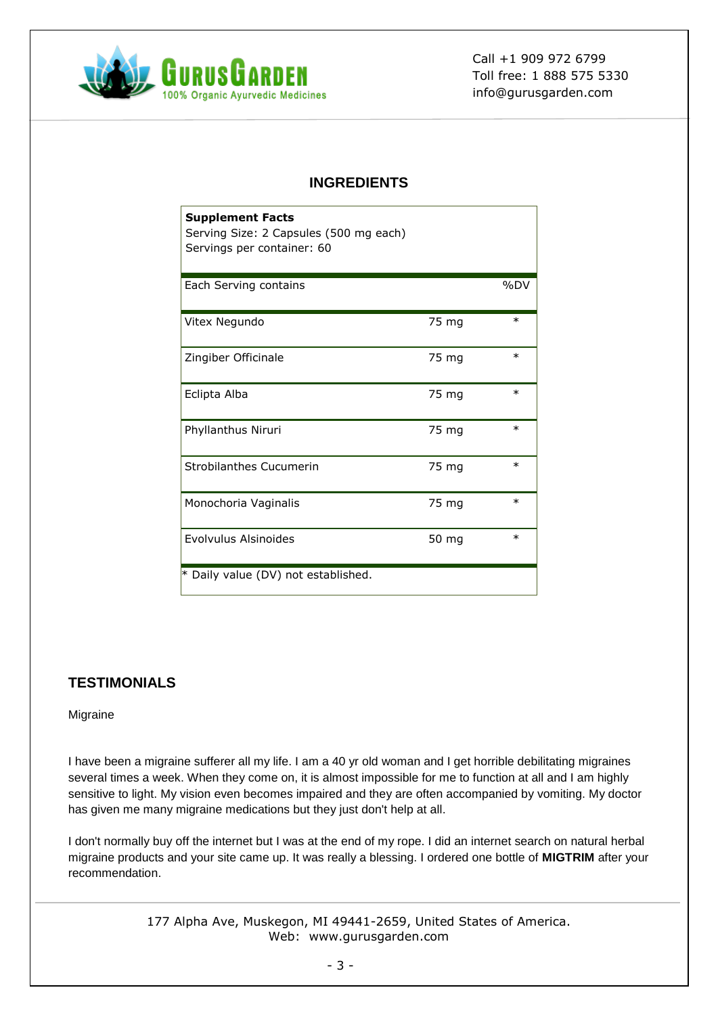

## **INGREDIENTS**

| <b>Supplement Facts</b><br>Serving Size: 2 Capsules (500 mg each)<br>Servings per container: 60 |       |        |
|-------------------------------------------------------------------------------------------------|-------|--------|
| Each Serving contains                                                                           |       | %DV    |
| Vitex Negundo                                                                                   | 75 mg | $\ast$ |
| Zingiber Officinale                                                                             | 75 mg | $\ast$ |
| Eclipta Alba                                                                                    | 75 mg | $\ast$ |
| Phyllanthus Niruri                                                                              | 75 mg | $\ast$ |
| <b>Strobilanthes Cucumerin</b>                                                                  | 75 mg | $\ast$ |
| Monochoria Vaginalis                                                                            | 75 mg | $\ast$ |
| Evolvulus Alsinoides                                                                            | 50 mg | $\ast$ |
| * Daily value (DV) not established.                                                             |       |        |

# **TESTIMONIALS**

#### Migraine

I have been a migraine sufferer all my life. I am a 40 yr old woman and I get horrible debilitating migraines several times a week. When they come on, it is almost impossible for me to function at all and I am highly sensitive to light. My vision even becomes impaired and they are often accompanied by vomiting. My doctor has given me many migraine medications but they just don't help at all.

I don't normally buy off the internet but I was at the end of my rope. I did an internet search on natural herbal migraine products and your site came up. It was really a blessing. I ordered one bottle of **MIGTRIM** after your recommendation.